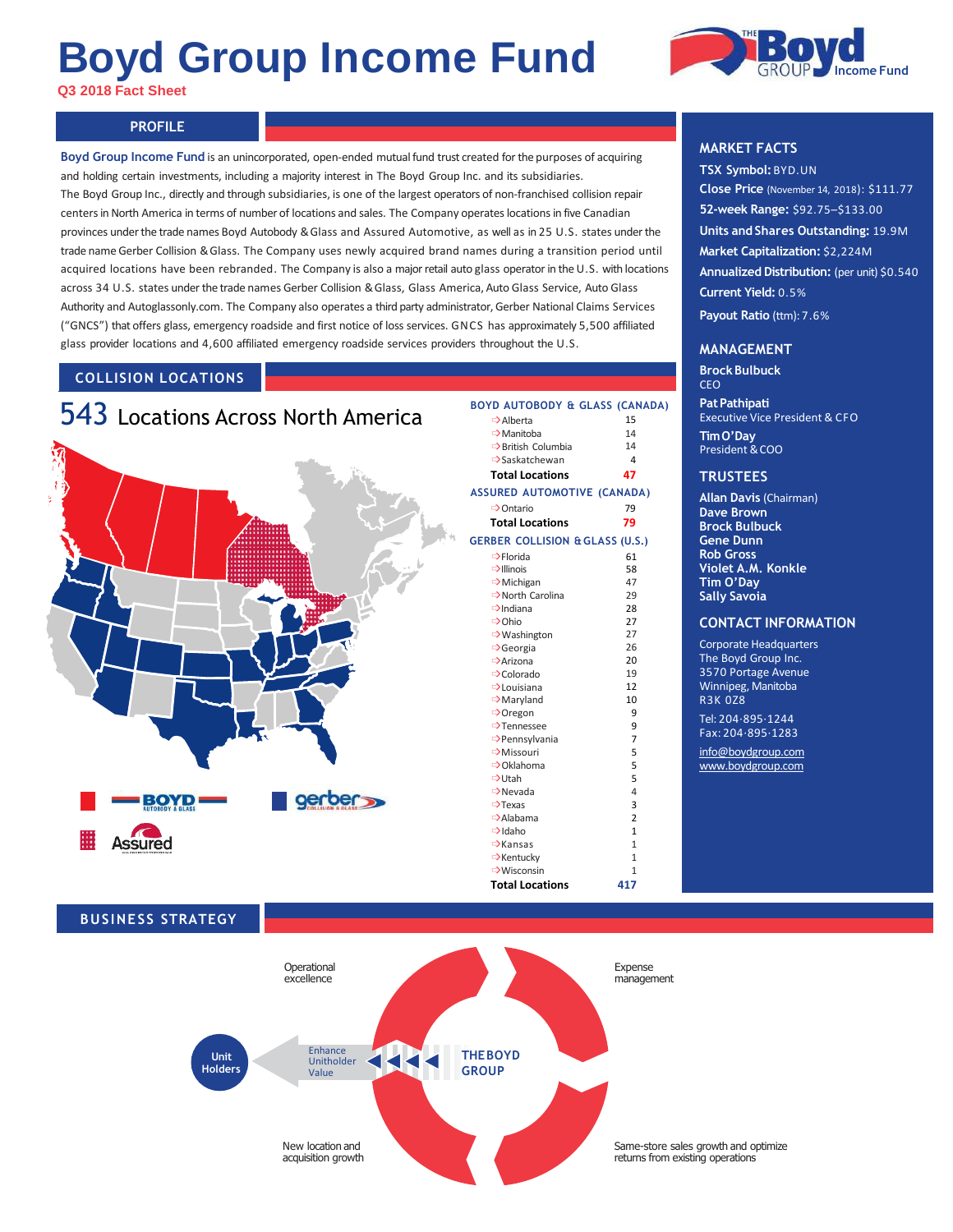# **Boyd Group Income Fund**

**Q3 2018 Fact Sheet**



## **PROFILE PROFILE**

**Boyd Group Income Fund** is an unincorporated, open-ended mutual fund trust created for the purposes of acquiring and holding certain investments, including a majority interest in The Boyd Group Inc. and its subsidiaries. The Boyd Group Inc., directly and through subsidiaries, is one of the largest operators of non-franchised collision repair centersin North America in terms of number of locations and sales. The Company operateslocations in five Canadian provinces under the trade names Boyd Autobody & Glass and Assured Automotive, as well as in 25 U.S. states underthe trade name Gerber Collision & Glass. The Company uses newly acquired brand names during a transition period until acquired locations have been rebranded. The Company is also a major retail auto glass operator in the U.S. with locations across 34 U.S. states under the trade names Gerber Collision & Glass, Glass America, Auto Glass Service, Auto Glass Authority and Autoglassonly.com. The Company also operates a third party administrator, Gerber National Claims Services ("GNCS") that offers glass, emergency roadside and first notice of loss services. GNCS has approximately 5,500 affiliated glass provider locations and 4,600 affiliated emergency roadside services providers throughout the U.S.

### **COLLISION LOCATIONS**



#### $\Rightarrow$  Alberta 15  $\Rightarrow$  Manitoba 14<br>  $\Rightarrow$  British Columbia 14  $\Rightarrow$ British Columbia 14<br> $\Rightarrow$ Saskatchewan 4 ➩Saskatchewan 4 **Total Locations 47 GERBER COLLISION & GLASS (U.S.)**  $\Rightarrow$ Florida 61  $\Rightarrow$ Illinois 58<br> $\Rightarrow$ Michigan 47 **⇒** Michigan 47<br>→ North Carolina 29 **⇒**North Carolina 29<br>→ Indiana 28  $\Rightarrow$ Indiana  $\Rightarrow$  Ohio 27 **■>Washington 27**<br>■>Georgia 26 **⇒**Georgia 26<br>⊇Arizona 20 **⇒**Arizona 20<br>
⇒Colorado 19 ➩Colorado 19  $\Rightarrow$  Louisiana 12<br> $\Rightarrow$  Maryland 10 ➩Maryland 10 ➩Oregon 9 **⇒**Tennessee 9<br>⇒Pennsylvania 7 **BOYD AUTOBODY & GLASS (CANADA) ASSURED AUTOMOTIVE (CANADA)** ➩Ontario 79 **Total Locations 79**

**Total Locations 417**

#### **MARKET FACTS**

**TSX Symbol:**BYD.UN **Close Price** (November 14, 2018): \$111.77 **52-week Range:** \$92.75–\$133.00 **Units and Shares Outstanding:** 19.9M **Market Capitalization:** \$2,224M **Annualized Distribution:** (per unit) \$0.540 **Current Yield:** 0.5% **Payout Ratio** (ttm): 7.6%

#### **MANAGEMENT**

**BrockBulbuck** CEO

**PatPathipati** Executive Vice President & CFO **TimO'Day** President & COO

#### **TRUSTEES**

**Allan Davis** (Chairman) **Dave Brown Brock Bulbuck Gene Dunn Rob Gross Violet A.M. Konkle Tim O'Day Sally Savoia**

#### **CONTACT INFORMATION**

Corporate Headquarters The Boyd Group Inc. 3570 Portage Avenue Winnipeg, Manitoba R3K 0Z8 Tel: 204·895·1244

Fax: 204·895·1283 [info@boydgroup.com](mailto:info@boydgroup.com) [www.boydgroup.com](http://www.boydgroup.com/)

#### **BUSINESS STRATEGY**